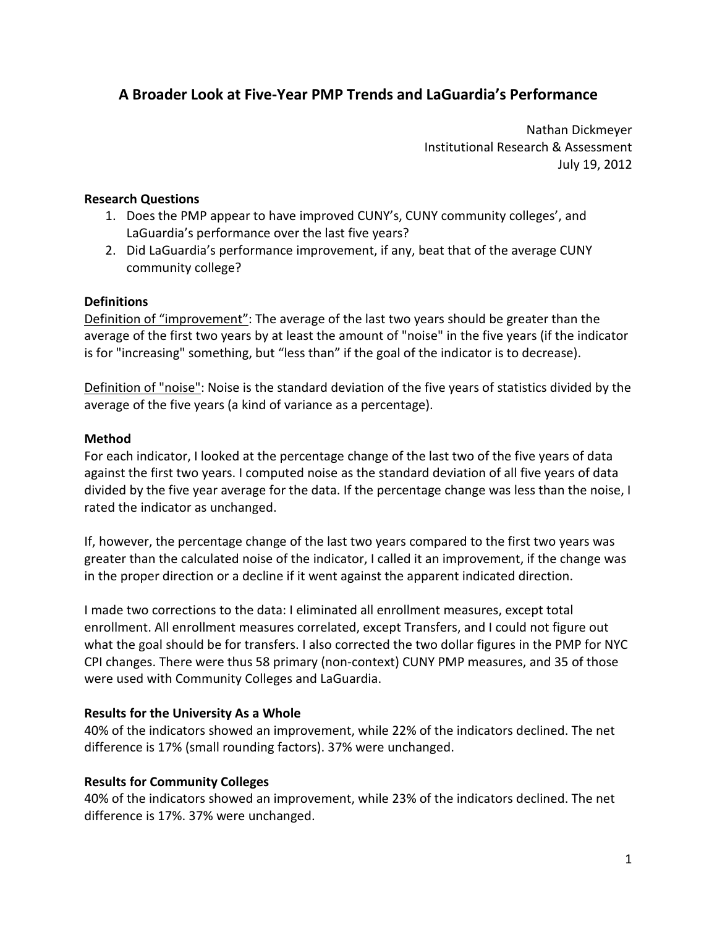# **A Broader Look at Five-Year PMP Trends and LaGuardia's Performance**

Nathan Dickmeyer Institutional Research & Assessment July 19, 2012

#### **Research Questions**

- 1. Does the PMP appear to have improved CUNY's, CUNY community colleges', and LaGuardia's performance over the last five years?
- 2. Did LaGuardia's performance improvement, if any, beat that of the average CUNY community college?

#### **Definitions**

Definition of "improvement": The average of the last two years should be greater than the average of the first two years by at least the amount of "noise" in the five years (if the indicator is for "increasing" something, but "less than" if the goal of the indicator is to decrease).

Definition of "noise": Noise is the standard deviation of the five years of statistics divided by the average of the five years (a kind of variance as a percentage).

#### **Method**

For each indicator, I looked at the percentage change of the last two of the five years of data against the first two years. I computed noise as the standard deviation of all five years of data divided by the five year average for the data. If the percentage change was less than the noise, I rated the indicator as unchanged.

If, however, the percentage change of the last two years compared to the first two years was greater than the calculated noise of the indicator, I called it an improvement, if the change was in the proper direction or a decline if it went against the apparent indicated direction.

I made two corrections to the data: I eliminated all enrollment measures, except total enrollment. All enrollment measures correlated, except Transfers, and I could not figure out what the goal should be for transfers. I also corrected the two dollar figures in the PMP for NYC CPI changes. There were thus 58 primary (non-context) CUNY PMP measures, and 35 of those were used with Community Colleges and LaGuardia.

## **Results for the University As a Whole**

40% of the indicators showed an improvement, while 22% of the indicators declined. The net difference is 17% (small rounding factors). 37% were unchanged.

## **Results for Community Colleges**

40% of the indicators showed an improvement, while 23% of the indicators declined. The net difference is 17%. 37% were unchanged.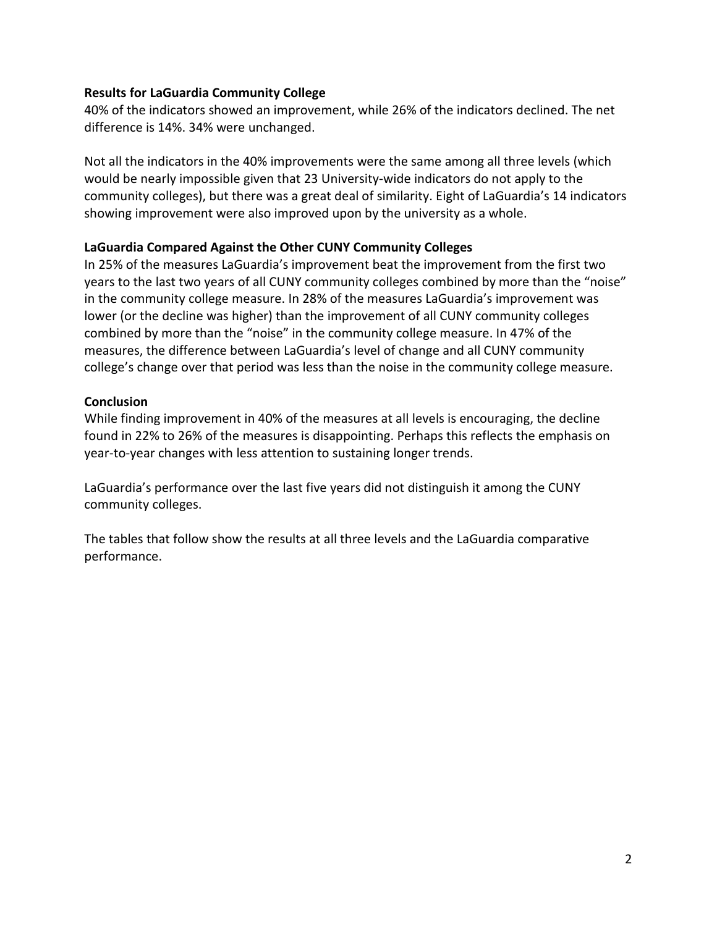#### **Results for LaGuardia Community College**

40% of the indicators showed an improvement, while 26% of the indicators declined. The net difference is 14%. 34% were unchanged.

Not all the indicators in the 40% improvements were the same among all three levels (which would be nearly impossible given that 23 University-wide indicators do not apply to the community colleges), but there was a great deal of similarity. Eight of LaGuardia's 14 indicators showing improvement were also improved upon by the university as a whole.

## **LaGuardia Compared Against the Other CUNY Community Colleges**

In 25% of the measures LaGuardia's improvement beat the improvement from the first two years to the last two years of all CUNY community colleges combined by more than the "noise" in the community college measure. In 28% of the measures LaGuardia's improvement was lower (or the decline was higher) than the improvement of all CUNY community colleges combined by more than the "noise" in the community college measure. In 47% of the measures, the difference between LaGuardia's level of change and all CUNY community college's change over that period was less than the noise in the community college measure.

## **Conclusion**

While finding improvement in 40% of the measures at all levels is encouraging, the decline found in 22% to 26% of the measures is disappointing. Perhaps this reflects the emphasis on year-to-year changes with less attention to sustaining longer trends.

LaGuardia's performance over the last five years did not distinguish it among the CUNY community colleges.

The tables that follow show the results at all three levels and the LaGuardia comparative performance.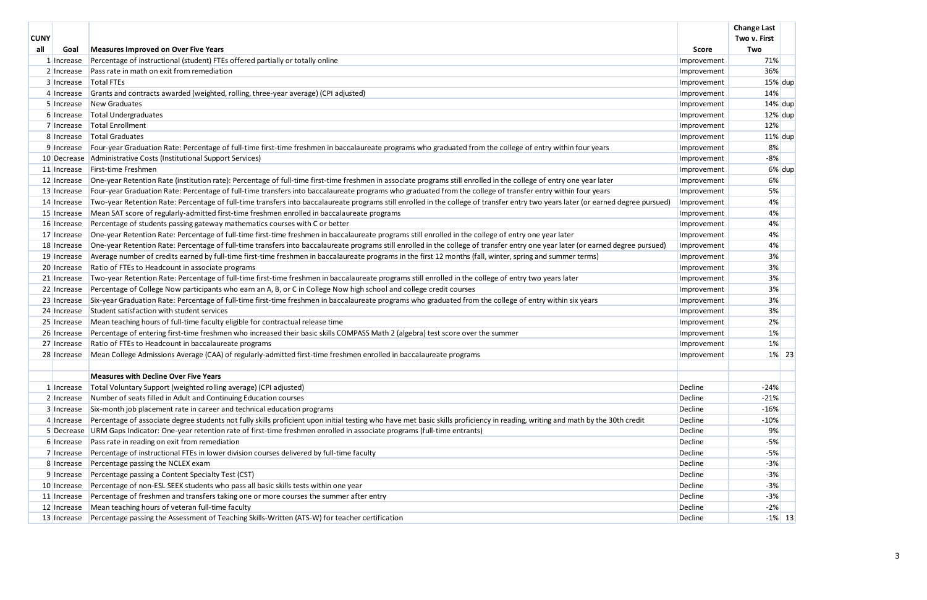|             |              |                                                                                                                                                                                   |              | <b>Change Last</b> |
|-------------|--------------|-----------------------------------------------------------------------------------------------------------------------------------------------------------------------------------|--------------|--------------------|
| <b>CUNY</b> |              |                                                                                                                                                                                   |              | Two v. First       |
| all         | Goal         | <b>Measures Improved on Over Five Years</b>                                                                                                                                       | <b>Score</b> | Two                |
|             | 1 Increase   | Percentage of instructional (student) FTEs offered partially or totally online                                                                                                    | Improvement  | 71%                |
|             | 2 Increase   | Pass rate in math on exit from remediation                                                                                                                                        | Improvement  | 36%                |
|             | 3 Increase   | <b>Total FTEs</b>                                                                                                                                                                 | Improvement  | $15\%$ dup         |
|             | 4 Increase   | Grants and contracts awarded (weighted, rolling, three-year average) (CPI adjusted)                                                                                               | Improvement  | 14%                |
|             | 5 Increase   | New Graduates                                                                                                                                                                     | Improvement  | $14\%$ dup         |
|             | 6 Increase   | Total Undergraduates                                                                                                                                                              | Improvement  | $12\%$ dup         |
|             | 7 Increase   | Total Enrollment                                                                                                                                                                  | Improvement  | 12%                |
|             | 8 Increase   | Total Graduates                                                                                                                                                                   | Improvement  | $11\%$ dup         |
|             | 9 Increase   | Four-year Graduation Rate: Percentage of full-time first-time freshmen in baccalaureate programs who graduated from the college of entry within four years                        | Improvement  | 8%                 |
|             | 10 Decrease  | Administrative Costs (Institutional Support Services)                                                                                                                             | Improvement  | $-8%$              |
|             | 11 Increase  | First-time Freshmen                                                                                                                                                               | Improvement  | $6\%$ dup          |
|             | 12 Increase  | One-year Retention Rate (institution rate): Percentage of full-time first-time freshmen in associate programs still enrolled in the college of entry one year later               | Improvement  | 6%                 |
|             | 13 Increase  | Four-year Graduation Rate: Percentage of full-time transfers into baccalaureate programs who graduated from the college of transfer entry within four years                       | Improvement  | 5%                 |
|             | 14 Increase  | Two-year Retention Rate: Percentage of full-time transfers into baccalaureate programs still enrolled in the college of transfer entry two years later (or earned degree pursued) | Improvement  | 4%                 |
|             | 15 Increase  | Mean SAT score of regularly-admitted first-time freshmen enrolled in baccalaureate programs                                                                                       | Improvement  | 4%                 |
|             | 16 Increase  | Percentage of students passing gateway mathematics courses with C or better                                                                                                       | Improvement  | 4%                 |
|             | 17 Increase  | One-year Retention Rate: Percentage of full-time first-time freshmen in baccalaureate programs still enrolled in the college of entry one year later                              | Improvement  | 4%                 |
|             | 18 Increase  | One-year Retention Rate: Percentage of full-time transfers into baccalaureate programs still enrolled in the college of transfer entry one year later (or earned degree pursued)  | Improvement  | 4%                 |
|             | 19 Increase  | Average number of credits earned by full-time first-time freshmen in baccalaureate programs in the first 12 months (fall, winter, spring and summer terms)                        | Improvement  | 3%                 |
|             | 20 Increase  | Ratio of FTEs to Headcount in associate programs                                                                                                                                  | Improvement  | 3%                 |
|             | 21 Increase  | Two-year Retention Rate: Percentage of full-time first-time freshmen in baccalaureate programs still enrolled in the college of entry two years later                             | Improvement  | 3%                 |
|             | 22 Increase  | Percentage of College Now participants who earn an A, B, or C in College Now high school and college credit courses                                                               | Improvement  | 3%                 |
|             | 23 Increase  | Six-year Graduation Rate: Percentage of full-time first-time freshmen in baccalaureate programs who graduated from the college of entry within six years                          | Improvement  | 3%                 |
|             | 24 Increase  | Student satisfaction with student services                                                                                                                                        | Improvement  | 3%                 |
|             | 25 Increase  | Mean teaching hours of full-time faculty eligible for contractual release time                                                                                                    | Improvement  | 2%                 |
|             | 26 Increase  | Percentage of entering first-time freshmen who increased their basic skills COMPASS Math 2 (algebra) test score over the summer                                                   | Improvement  | 1%                 |
|             | 27 Increase  | Ratio of FTEs to Headcount in baccalaureate programs                                                                                                                              | Improvement  | 1%                 |
|             | 28 Increase  | Mean College Admissions Average (CAA) of regularly-admitted first-time freshmen enrolled in baccalaureate programs                                                                | Improvement  | 1% 23              |
|             |              |                                                                                                                                                                                   |              |                    |
|             |              | <b>Measures with Decline Over Five Years</b>                                                                                                                                      |              |                    |
|             | $1$ Increase | Total Voluntary Support (weighted rolling average) (CPI adjusted)                                                                                                                 | Decline      | $-24%$             |
|             | 2 Increase   | Number of seats filled in Adult and Continuing Education courses                                                                                                                  | Decline      | $-21%$             |
|             | 3 Increase   | Six-month job placement rate in career and technical education programs                                                                                                           | Decline      | $-16%$             |
|             | 4 Increase   | Percentage of associate degree students not fully skills proficient upon initial testing who have met basic skills proficiency in reading, writing and math by the 30th credit    | Decline      | $-10%$             |
|             | 5 Decrease   | URM Gaps Indicator: One-year retention rate of first-time freshmen enrolled in associate programs (full-time entrants)                                                            | Decline      | 9%                 |
|             | 6 Increase   | Pass rate in reading on exit from remediation                                                                                                                                     | Decline      | $-5%$              |
|             | 7 Increase   | Percentage of instructional FTEs in lower division courses delivered by full-time faculty                                                                                         | Decline      | $-5%$              |
|             | 8 Increase   | Percentage passing the NCLEX exam                                                                                                                                                 | Decline      | $-3%$              |
|             | 9 Increase   | Percentage passing a Content Specialty Test (CST)                                                                                                                                 | Decline      | $-3%$              |
|             | 10 Increase  | Percentage of non-ESL SEEK students who pass all basic skills tests within one year                                                                                               | Decline      | $-3%$              |
|             | 11 Increase  | Percentage of freshmen and transfers taking one or more courses the summer after entry                                                                                            | Decline      | $-3%$              |
|             | 12 Increase  | Mean teaching hours of veteran full-time faculty                                                                                                                                  | Decline      | $-2%$              |
|             | 13 Increase  | Percentage passing the Assessment of Teaching Skills-Written (ATS-W) for teacher certification                                                                                    | Decline      | $-1\%$ 13          |
|             |              |                                                                                                                                                                                   |              |                    |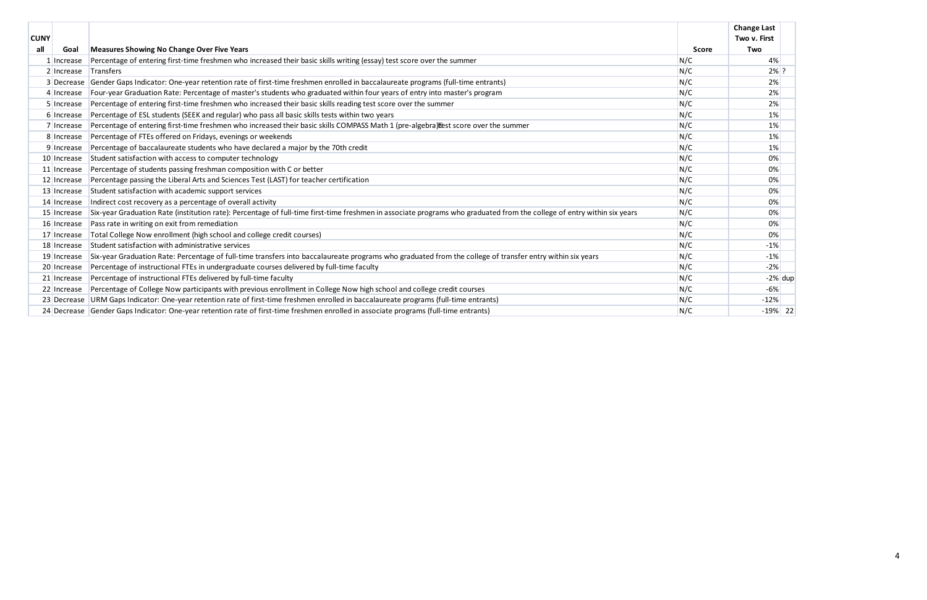|                    |             |                                                                                                                                                                         |              | <b>Change Last</b>  |
|--------------------|-------------|-------------------------------------------------------------------------------------------------------------------------------------------------------------------------|--------------|---------------------|
| <b>CUNY</b><br>all | Goal        | <b>Measures Showing No Change Over Five Years</b>                                                                                                                       | <b>Score</b> | Two v. First<br>Two |
|                    | 1 Increase  | Percentage of entering first-time freshmen who increased their basic skills writing (essay) test score over the summer                                                  | N/C          | 4%                  |
|                    | 2 Increase  | Transfers                                                                                                                                                               | N/C          | $2%$ ?              |
|                    |             | 3 Decrease Gender Gaps Indicator: One-year retention rate of first-time freshmen enrolled in baccalaureate programs (full-time entrants)                                | N/C          | 2%                  |
|                    | 4 Increase  | Four-year Graduation Rate: Percentage of master's students who graduated within four years of entry into master's program                                               | N/C          | 2%                  |
|                    | 5 Increase  | Percentage of entering first-time freshmen who increased their basic skills reading test score over the summer                                                          | N/C          | 2%                  |
|                    | 6 Increase  | Percentage of ESL students (SEEK and regular) who pass all basic skills tests within two years                                                                          | N/C          | 1%                  |
|                    | 7 Increase  | Percentage of entering first-time freshmen who increased their basic skills COMPASS Math 1 (pre-algebra) Lest score over the summer                                     | N/C          | 1%                  |
|                    | 8 Increase  | Percentage of FTEs offered on Fridays, evenings or weekends                                                                                                             | N/C          | 1%                  |
|                    | 9 Increase  | Percentage of baccalaureate students who have declared a major by the 70th credit                                                                                       | N/C          | 1%                  |
|                    | 10 Increase | Student satisfaction with access to computer technology                                                                                                                 | N/C          | 0%                  |
|                    | 11 Increase | Percentage of students passing freshman composition with C or better                                                                                                    | N/C          | 0%                  |
|                    | 12 Increase | Percentage passing the Liberal Arts and Sciences Test (LAST) for teacher certification                                                                                  | N/C          | 0%                  |
|                    | 13 Increase | Student satisfaction with academic support services                                                                                                                     | N/C          | 0%                  |
|                    | 14 Increase | Indirect cost recovery as a percentage of overall activity                                                                                                              | N/C          | 0%                  |
|                    | 15 Increase | Six-year Graduation Rate (institution rate): Percentage of full-time first-time freshmen in associate programs who graduated from the college of entry within six years | N/C          | 0%                  |
|                    | 16 Increase | Pass rate in writing on exit from remediation                                                                                                                           | N/C          | 0%                  |
|                    | 17 Increase | Total College Now enrollment (high school and college credit courses)                                                                                                   | N/C          | 0%                  |
|                    | 18 Increase | Student satisfaction with administrative services                                                                                                                       | N/C          | $-1%$               |
|                    | 19 Increase | Six-year Graduation Rate: Percentage of full-time transfers into baccalaureate programs who graduated from the college of transfer entry within six years               | N/C          | $-1%$               |
|                    | 20 Increase | Percentage of instructional FTEs in undergraduate courses delivered by full-time faculty                                                                                | N/C          | $-2%$               |
|                    | 21 Increase | Percentage of instructional FTEs delivered by full-time faculty                                                                                                         | N/C          | $-2\%$ dup          |
|                    | 22 Increase | Percentage of College Now participants with previous enrollment in College Now high school and college credit courses                                                   | N/C          | $-6%$               |
|                    |             | 23 Decrease URM Gaps Indicator: One-year retention rate of first-time freshmen enrolled in baccalaureate programs (full-time entrants)                                  | N/C          | $-12%$              |
|                    |             | 24 Decrease Gender Gaps Indicator: One-year retention rate of first-time freshmen enrolled in associate programs (full-time entrants)                                   | N/C          | $-19\%$ 22          |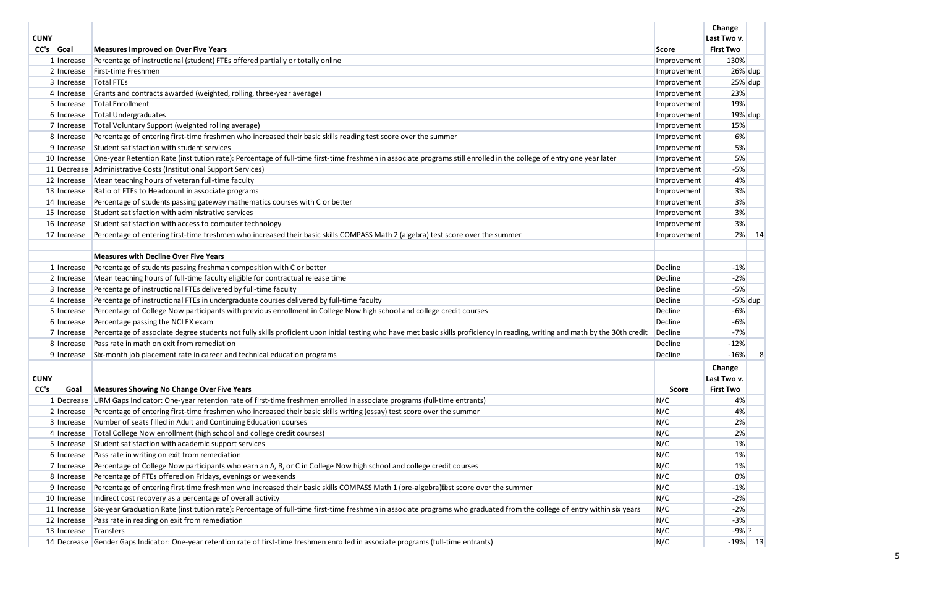|             |                          |                                                                                                                                                                                                                              |              | Change           |            |  |
|-------------|--------------------------|------------------------------------------------------------------------------------------------------------------------------------------------------------------------------------------------------------------------------|--------------|------------------|------------|--|
| <b>CUNY</b> |                          |                                                                                                                                                                                                                              |              | Last Two v.      |            |  |
| CC's        | Goal                     | <b>Measures Improved on Over Five Years</b>                                                                                                                                                                                  | Score        | <b>First Two</b> |            |  |
|             | 1 Increase               | Percentage of instructional (student) FTEs offered partially or totally online                                                                                                                                               | Improvement  | 130%             |            |  |
|             | 2 Increase               | First-time Freshmen                                                                                                                                                                                                          | Improvement  |                  | $26\%$ dup |  |
|             | 3 Increase               | Total FTEs                                                                                                                                                                                                                   | Improvement  |                  | $25%$ dup  |  |
|             | 4 Increase               | Grants and contracts awarded (weighted, rolling, three-year average)<br><b>Total Enrollment</b>                                                                                                                              | Improvement  | 23%<br>19%       |            |  |
|             | 5 Increase<br>6 Increase | Total Undergraduates                                                                                                                                                                                                         | Improvement  |                  |            |  |
|             |                          |                                                                                                                                                                                                                              | Improvement  |                  | $19%$ dup  |  |
|             | 7 Increase               | Total Voluntary Support (weighted rolling average)                                                                                                                                                                           | Improvement  | 15%<br>6%        |            |  |
|             | 8 Increase               | Percentage of entering first-time freshmen who increased their basic skills reading test score over the summer<br>Student satisfaction with student services                                                                 | Improvement  | 5%               |            |  |
|             | 9 Increase               |                                                                                                                                                                                                                              | Improvement  | 5%               |            |  |
|             | 10 Increase              | One-year Retention Rate (institution rate): Percentage of full-time first-time freshmen in associate programs still enrolled in the college of entry one year later                                                          | Improvement  |                  |            |  |
|             |                          | 11 Decrease Administrative Costs (Institutional Support Services)                                                                                                                                                            | Improvement  | $-5%$<br>4%      |            |  |
|             | 12 Increase              | Mean teaching hours of veteran full-time faculty                                                                                                                                                                             | Improvement  |                  |            |  |
|             | 13 Increase              | Ratio of FTEs to Headcount in associate programs                                                                                                                                                                             | Improvement  | 3%               |            |  |
|             | 14 Increase              | Percentage of students passing gateway mathematics courses with C or better<br>Student satisfaction with administrative services                                                                                             | Improvement  | 3%               |            |  |
|             | 15 Increase              |                                                                                                                                                                                                                              | Improvement  | 3%               |            |  |
|             | 16 Increase              | Student satisfaction with access to computer technology                                                                                                                                                                      | Improvement  | 3%               |            |  |
|             | 17 Increase              | Percentage of entering first-time freshmen who increased their basic skills COMPASS Math 2 (algebra) test score over the summer                                                                                              | Improvement  |                  | 2% 14      |  |
|             |                          | <b>Measures with Decline Over Five Years</b>                                                                                                                                                                                 |              |                  |            |  |
|             |                          |                                                                                                                                                                                                                              | Decline      |                  |            |  |
|             | 1 Increase               | Percentage of students passing freshman composition with C or better                                                                                                                                                         |              | $-1%$            |            |  |
|             | 2 Increase               | Mean teaching hours of full-time faculty eligible for contractual release time                                                                                                                                               | Decline      | $-2%$            |            |  |
|             | 3 Increase               | Percentage of instructional FTEs delivered by full-time faculty                                                                                                                                                              | Decline      | $-5%$            |            |  |
|             | 4 Increase               | Percentage of instructional FTEs in undergraduate courses delivered by full-time faculty                                                                                                                                     | Decline      |                  | $-5\%$ dup |  |
|             | 5 Increase               | Percentage of College Now participants with previous enrollment in College Now high school and college credit courses                                                                                                        | Decline      | $-6%$            |            |  |
|             | 6 Increase               | Percentage passing the NCLEX exam                                                                                                                                                                                            | Decline      | $-6%$            |            |  |
|             | 7 Increase               | Percentage of associate degree students not fully skills proficient upon initial testing who have met basic skills proficiency in reading, writing and math by the 30th credit<br>Pass rate in math on exit from remediation | Decline      | $-7%$            |            |  |
|             | 8 Increase               |                                                                                                                                                                                                                              | Decline      | $-12%$           |            |  |
|             |                          | 9 Increase Six-month job placement rate in career and technical education programs                                                                                                                                           | Decline      | $-16%$           | -8         |  |
|             |                          |                                                                                                                                                                                                                              |              | Change           |            |  |
| <b>CUNY</b> |                          |                                                                                                                                                                                                                              |              | Last Two v.      |            |  |
| CC's        | Goal                     | <b>Measures Showing No Change Over Five Years</b>                                                                                                                                                                            | <b>Score</b> | <b>First Two</b> |            |  |
|             |                          | Decrease URM Gaps Indicator: One-year retention rate of first-time freshmen enrolled in associate programs (full-time entrants)                                                                                              | N/C          | 4%               |            |  |
|             | 2 Increase               | Percentage of entering first-time freshmen who increased their basic skills writing (essay) test score over the summer                                                                                                       | N/C          | 4%               |            |  |
|             | 3 Increase               | Number of seats filled in Adult and Continuing Education courses                                                                                                                                                             | N/C          | 2%               |            |  |
|             | 4 Increase               | Total College Now enrollment (high school and college credit courses)                                                                                                                                                        | N/C          | 2%               |            |  |
|             | 5 Increase               | Student satisfaction with academic support services                                                                                                                                                                          | N/C          | 1%               |            |  |
|             | 6 Increase               | Pass rate in writing on exit from remediation                                                                                                                                                                                | N/C          | 1%               |            |  |
|             | 7 Increase               | Percentage of College Now participants who earn an A, B, or C in College Now high school and college credit courses                                                                                                          | N/C          | 1%               |            |  |
|             | 8 Increase               | Percentage of FTEs offered on Fridays, evenings or weekends                                                                                                                                                                  | N/C          | 0%               |            |  |
|             | 9 Increase               | Percentage of entering first-time freshmen who increased their basic skills COMPASS Math 1 (pre-algebra) lest score over the summer                                                                                          | N/C          | $-1%$            |            |  |
|             | 10 Increase              | Indirect cost recovery as a percentage of overall activity                                                                                                                                                                   | N/C          | $-2%$            |            |  |
|             | 11 Increase              | Six-year Graduation Rate (institution rate): Percentage of full-time first-time freshmen in associate programs who graduated from the college of entry within six years                                                      | N/C          | $-2%$            |            |  |
|             | 12 Increase              | Pass rate in reading on exit from remediation                                                                                                                                                                                | N/C          | $-3%$            |            |  |
|             | 13 Increase              | Transfers                                                                                                                                                                                                                    | N/C          | $-9%$ ?          |            |  |
|             |                          | 14 Decrease Gender Gaps Indicator: One-year retention rate of first-time freshmen enrolled in associate programs (full-time entrants)                                                                                        | N/C          | $-19\%$ 13       |            |  |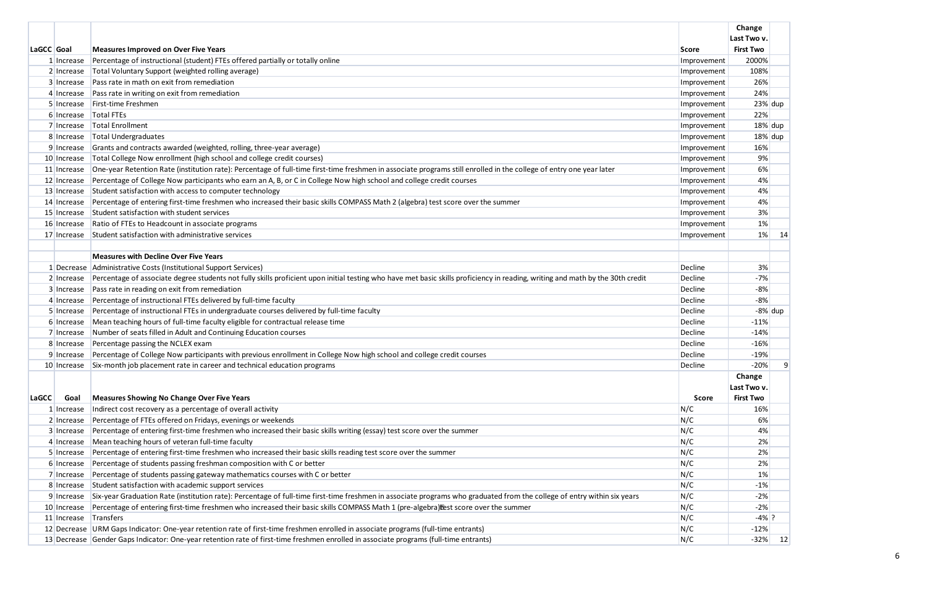|                | Change           |     |
|----------------|------------------|-----|
|                | Last Two v.      |     |
| icore          | <b>First Two</b> |     |
| mprovement     | 2000%            |     |
| mprovement     | 108%             |     |
| mprovement     | 26%              |     |
| mprovement     | 24%              |     |
| mprovement     | 23%              | dup |
| mprovement     | 22%              |     |
| mprovement     | 18%              | dup |
| mprovement     | 18%              | dup |
| mprovement     | 16%              |     |
| mprovement     | 9%               |     |
| mprovement     | 6%               |     |
| mprovement     | 4%               |     |
| mprovement     | 4%               |     |
| mprovement     | 4%               |     |
| mprovement     | 3%               |     |
| mprovement     | 1%               |     |
| mprovement     | 1%               | 14  |
|                |                  |     |
|                |                  |     |
| <b>Decline</b> | 3%               |     |
| ecline         | $-7%$            |     |
| <b>Decline</b> | -8%              |     |
| <b>Decline</b> | -8%              |     |
| <b>Decline</b> | -8%              | dup |
| <b>Decline</b> | $-11%$           |     |
| <b>Decline</b> | $-14%$           |     |
| <b>Decline</b> | $-16%$           |     |
| <b>Decline</b> |                  |     |
|                | $-19%$           |     |
| )ecline        | $-20%$           | 9   |
|                | Change           |     |
|                | Last Two v.      |     |
| <b>Score</b>   | <b>First Two</b> |     |
| ۷/C            | 16%              |     |
| ۱/C            | 6%               |     |
| ۱/C            | 4%               |     |
| ۱/C            | 2%               |     |
| ۱/C            | 2%               |     |
| ۱/C            | 2%               |     |
| ۱/C            | 1%               |     |
| ۱/C            | $-1%$            |     |
| ۱/C            | -2%              |     |
| ۱/C            | $-2%$            |     |
| ۱/C            | $-4%$            | ?   |
| ۱/C            | $-12%$           |     |
| $\sqrt{C}$     | $-32%$           | 12  |

|            |             |                                                                                                                                                                                |             | Change<br>Last Two v. |            |
|------------|-------------|--------------------------------------------------------------------------------------------------------------------------------------------------------------------------------|-------------|-----------------------|------------|
| LaGCC Goal |             | <b>Measures Improved on Over Five Years</b>                                                                                                                                    | Score       | <b>First Two</b>      |            |
|            | 1 Increase  | Percentage of instructional (student) FTEs offered partially or totally online                                                                                                 | Improvement | 2000%                 |            |
|            | 2 Increase  | Total Voluntary Support (weighted rolling average)                                                                                                                             | Improvement | 108%                  |            |
|            | 3 Increase  | Pass rate in math on exit from remediation                                                                                                                                     | Improvement | 26%                   |            |
|            | 4 Increase  | Pass rate in writing on exit from remediation                                                                                                                                  | Improvement | 24%                   |            |
|            | 5 Increase  | First-time Freshmen                                                                                                                                                            | Improvement |                       | $23%$ dup  |
|            | 6 Increase  | <b>Total FTEs</b>                                                                                                                                                              | Improvement | 22%                   |            |
|            | 7 Increase  | <b>Total Enrollment</b>                                                                                                                                                        | Improvement |                       | $18\%$ dup |
|            | 8 Increase  | Total Undergraduates                                                                                                                                                           | Improvement |                       | $18\%$ dup |
|            | 9 Increase  | Grants and contracts awarded (weighted, rolling, three-year average)                                                                                                           | Improvement | 16%                   |            |
|            | 10 Increase | Total College Now enrollment (high school and college credit courses)                                                                                                          | Improvement | 9%                    |            |
|            | 11 Increase | One-year Retention Rate (institution rate): Percentage of full-time first-time freshmen in associate programs still enrolled in the college of entry one year later            | Improvement | 6%                    |            |
|            | 12 Increase | Percentage of College Now participants who earn an A, B, or C in College Now high school and college credit courses                                                            | Improvement | 4%                    |            |
|            | 13 Increase | Student satisfaction with access to computer technology                                                                                                                        | Improvement | 4%                    |            |
|            | 14 Increase | Percentage of entering first-time freshmen who increased their basic skills COMPASS Math 2 (algebra) test score over the summer                                                | Improvement | 4%                    |            |
|            | 15 Increase | Student satisfaction with student services                                                                                                                                     | Improvement | 3%                    |            |
|            | 16 Increase | Ratio of FTEs to Headcount in associate programs                                                                                                                               | Improvement | 1%                    |            |
|            | 17 Increase | Student satisfaction with administrative services                                                                                                                              | Improvement | 1%                    | -14        |
|            |             |                                                                                                                                                                                |             |                       |            |
|            |             | <b>Measures with Decline Over Five Years</b>                                                                                                                                   |             |                       |            |
|            | 1 Decrease  | Administrative Costs (Institutional Support Services)                                                                                                                          | Decline     | 3%                    |            |
|            | 2 Increase  | Percentage of associate degree students not fully skills proficient upon initial testing who have met basic skills proficiency in reading, writing and math by the 30th credit | Decline     | $-7%$                 |            |
|            | 3 Increase  | Pass rate in reading on exit from remediation                                                                                                                                  | Decline     | $-8%$                 |            |
|            | 4 Increase  | Percentage of instructional FTEs delivered by full-time faculty                                                                                                                | Decline     | $-8%$                 |            |
|            | 5 Increase  | Percentage of instructional FTEs in undergraduate courses delivered by full-time faculty                                                                                       | Decline     |                       | $-8\%$ dup |
|            | 6 Increase  | Mean teaching hours of full-time faculty eligible for contractual release time                                                                                                 | Decline     | $-11%$                |            |
|            | 7 Increase  | Number of seats filled in Adult and Continuing Education courses                                                                                                               | Decline     | $-14%$                |            |
|            | 8 Increase  | Percentage passing the NCLEX exam                                                                                                                                              | Decline     | $-16%$                |            |
|            | 9 Increase  | Percentage of College Now participants with previous enrollment in College Now high school and college credit courses                                                          | Decline     | $-19%$                |            |
|            |             | 10 Increase Six-month job placement rate in career and technical education programs                                                                                            | Decline     | $-20%$                |            |
|            |             |                                                                                                                                                                                |             | Change<br>Last Two v. |            |
| LaGCC      | Goal        | <b>Measures Showing No Change Over Five Years</b>                                                                                                                              | Score       | <b>First Two</b>      |            |
|            | 1 Increase  | Indirect cost recovery as a percentage of overall activity                                                                                                                     | N/C         | 16%                   |            |
|            | 2 Increase  | Percentage of FTEs offered on Fridays, evenings or weekends                                                                                                                    | N/C         | 6%                    |            |
|            | 3 Increase  | Percentage of entering first-time freshmen who increased their basic skills writing (essay) test score over the summer                                                         | N/C         | 4%                    |            |
|            | 4 Increase  | Mean teaching hours of veteran full-time faculty                                                                                                                               | N/C         | 2%                    |            |
|            | 5 Increase  | Percentage of entering first-time freshmen who increased their basic skills reading test score over the summer                                                                 | N/C         | 2%                    |            |
|            | 6 Increase  | Percentage of students passing freshman composition with C or better                                                                                                           | N/C         | 2%                    |            |
|            | 7 Increase  | Percentage of students passing gateway mathematics courses with C or better                                                                                                    | N/C         | 1%                    |            |
|            | 8 Increase  | Student satisfaction with academic support services                                                                                                                            | N/C         | $-1%$                 |            |
|            | 9 Increase  | Six-year Graduation Rate (institution rate): Percentage of full-time first-time freshmen in associate programs who graduated from the college of entry within six years        | N/C         | $-2%$                 |            |
|            | 10 Increase | Percentage of entering first-time freshmen who increased their basic skills COMPASS Math 1 (pre-algebra) lest score over the summer                                            | N/C         | $-2%$                 |            |
|            | 11 Increase | Transfers                                                                                                                                                                      | N/C         | $-4\%$ ?              |            |
|            |             | 12 Decrease URM Gaps Indicator: One-year retention rate of first-time freshmen enrolled in associate programs (full-time entrants)                                             | N/C         | $-12%$                |            |
|            |             | 13 Decrease Gender Gaps Indicator: One-year retention rate of first-time freshmen enrolled in associate programs (full-time entrants)                                          | N/C         | $-32%$                | -12        |